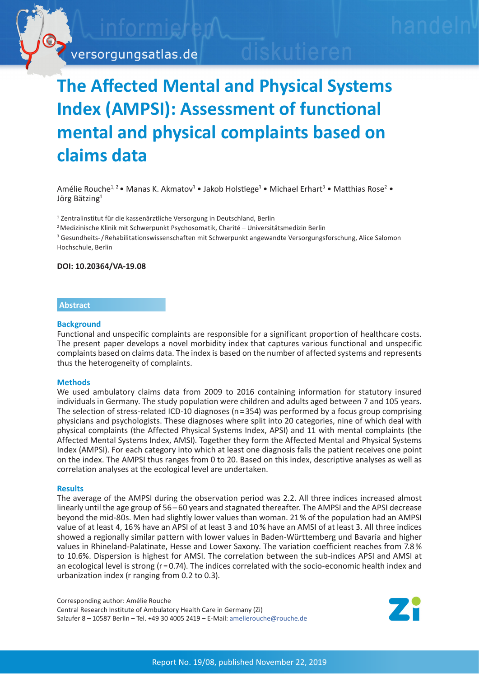

# **The Affected Mental and Physical Systems Index (AMPSI): Assessment of functional mental and physical complaints based on claims data**

Amélie Rouche<sup>1,2</sup> • Manas K. Akmatov<sup>1</sup> • Jakob Holstiege<sup>1</sup> • Michael Erhart<sup>3</sup> • Matthias Rose<sup>2</sup> • Jörg Bätzing<sup>1</sup>

<sup>1</sup> Zentralinstitut für die kassenärztliche Versorgung in Deutschland, Berlin

 $2$ Medizinische Klinik mit Schwerpunkt Psychosomatik, Charité – Universitätsmedizin Berlin

<sup>3</sup> Gesundheits-/Rehabilitationswissenschaften mit Schwerpunkt angewandte Versorgungsforschung, Alice Salomon Hochschule, Berlin

### **DOI: 10.20364/VA-19.08**

# **Abstract**

### **Background**

Functional and unspecific complaints are responsible for a significant proportion of healthcare costs. The present paper develops a novel morbidity index that captures various functional and unspecific complaints based on claims data. The index is based on the number of affected systems and represents thus the heterogeneity of complaints.

## **Methods**

We used ambulatory claims data from 2009 to 2016 containing information for statutory insured individuals in Germany. The study population were children and adults aged between 7 and 105 years. The selection of stress-related ICD-10 diagnoses (n = 354) was performed by a focus group comprising physicians and psychologists. These diagnoses where split into 20 categories, nine of which deal with physical complaints (the Affected Physical Systems Index, APSI) and 11 with mental complaints (the Affected Mental Systems Index, AMSI). Together they form the Affected Mental and Physical Systems Index (AMPSI). For each category into which at least one diagnosis falls the patient receives one point on the index. The AMPSI thus ranges from 0 to 20. Based on this index, descriptive analyses as well as correlation analyses at the ecological level are undertaken.

## **Results**

The average of the AMPSI during the observation period was 2.2. All three indices increased almost linearly until the age group of 56–60 years and stagnated thereafter. The AMPSI and the APSI decrease beyond the mid-80s. Men had slightly lower values than woman. 21 % of the population had an AMPSI value of at least 4, 16 % have an APSI of at least 3 and 10 % have an AMSI of at least 3. All three indices showed a regionally similar pattern with lower values in Baden-Württemberg und Bavaria and higher values in Rhineland-Palatinate, Hesse and Lower Saxony. The variation coefficient reaches from 7.8 % to 10.6%. Dispersion is highest for AMSI. The correlation between the sub-indices APSI and AMSI at an ecological level is strong ( $r = 0.74$ ). The indices correlated with the socio-economic health index and urbanization index (r ranging from 0.2 to 0.3).

Corresponding author: Amélie Rouche Central Research Institute of Ambulatory Health Care in Germany (Zi) Salzufer 8 – 10587 Berlin – Tel. +49 30 4005 2419 – E-Mail: [amelierouche@rouche.de](mailto:amelierouche%40rouche.de?subject=VA-Bericht%2019/10%20AMPSI)